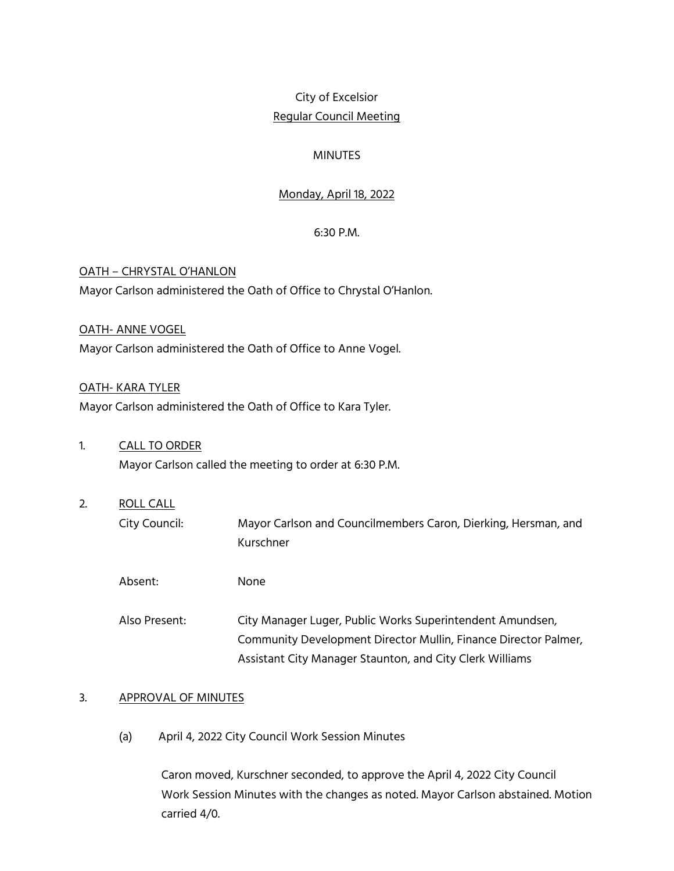# City of Excelsior Regular Council Meeting

# **MINUTES**

# Monday, April 18, 2022

# 6:30 P.M.

# OATH – CHRYSTAL O'HANLON Mayor Carlson administered the Oath of Office to Chrystal O'Hanlon.

#### OATH- ANNE VOGEL

Mayor Carlson administered the Oath of Office to Anne Vogel.

#### OATH- KARA TYLER

Mayor Carlson administered the Oath of Office to Kara Tyler.

- 1. CALL TO ORDER Mayor Carlson called the meeting to order at 6:30 P.M.
- 2. ROLL CALL City Council: Mayor Carlson and Councilmembers Caron, Dierking, Hersman, and Kurschner
	- Absent: None
	- Also Present: City Manager Luger, Public Works Superintendent Amundsen, Community Development Director Mullin, Finance Director Palmer, Assistant City Manager Staunton, and City Clerk Williams

# 3. APPROVAL OF MINUTES

(a) April 4, 2022 City Council Work Session Minutes

Caron moved, Kurschner seconded, to approve the April 4, 2022 City Council Work Session Minutes with the changes as noted. Mayor Carlson abstained. Motion carried 4/0.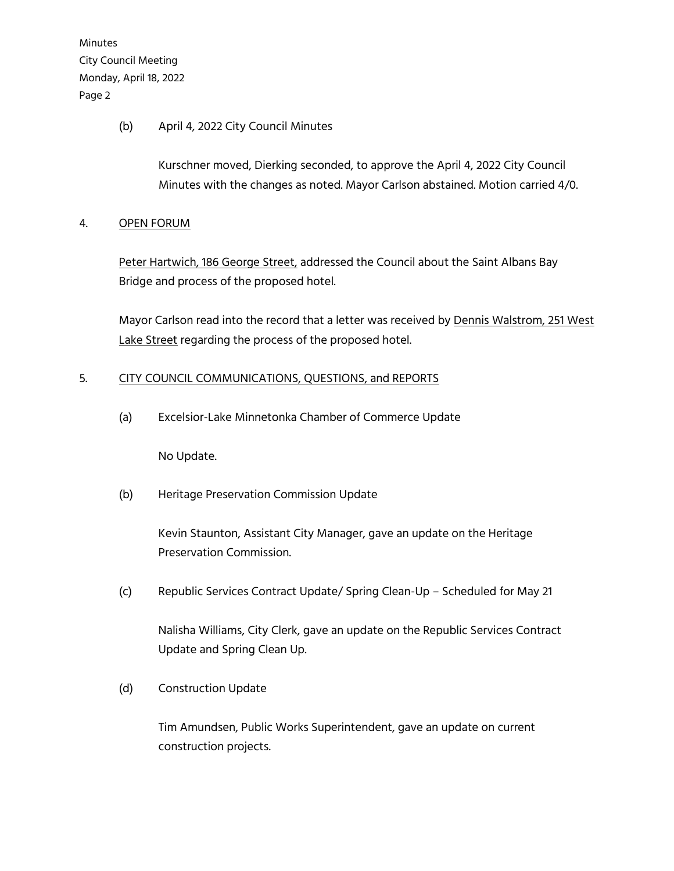# (b) April 4, 2022 City Council Minutes

Kurschner moved, Dierking seconded, to approve the April 4, 2022 City Council Minutes with the changes as noted. Mayor Carlson abstained. Motion carried 4/0.

# 4. OPEN FORUM

Peter Hartwich, 186 George Street, addressed the Council about the Saint Albans Bay Bridge and process of the proposed hotel.

Mayor Carlson read into the record that a letter was received by Dennis Walstrom, 251 West Lake Street regarding the process of the proposed hotel.

# 5. CITY COUNCIL COMMUNICATIONS, QUESTIONS, and REPORTS

(a) Excelsior-Lake Minnetonka Chamber of Commerce Update

No Update.

(b) Heritage Preservation Commission Update

Kevin Staunton, Assistant City Manager, gave an update on the Heritage Preservation Commission.

(c) Republic Services Contract Update/ Spring Clean-Up – Scheduled for May 21

Nalisha Williams, City Clerk, gave an update on the Republic Services Contract Update and Spring Clean Up.

# (d) Construction Update

Tim Amundsen, Public Works Superintendent, gave an update on current construction projects.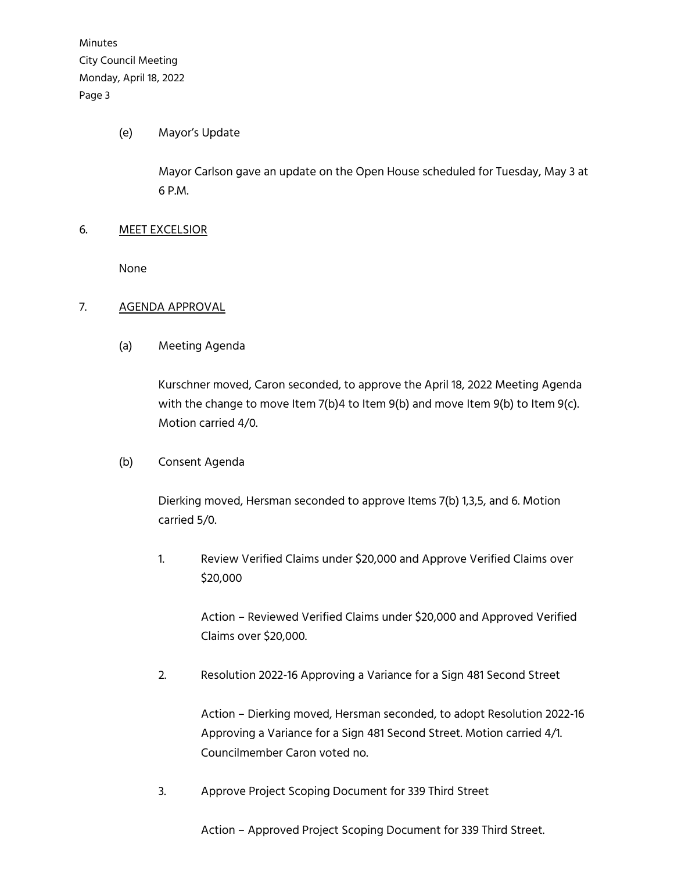#### (e) Mayor's Update

Mayor Carlson gave an update on the Open House scheduled for Tuesday, May 3 at 6 P.M.

#### 6. MEET EXCELSIOR

None

#### 7. AGENDA APPROVAL

(a) Meeting Agenda

Kurschner moved, Caron seconded, to approve the April 18, 2022 Meeting Agenda with the change to move Item 7(b)4 to Item 9(b) and move Item 9(b) to Item 9(c). Motion carried 4/0.

# (b) Consent Agenda

Dierking moved, Hersman seconded to approve Items 7(b) 1,3,5, and 6. Motion carried 5/0.

1. Review Verified Claims under \$20,000 and Approve Verified Claims over \$20,000

> Action – Reviewed Verified Claims under \$20,000 and Approved Verified Claims over \$20,000.

2. Resolution 2022-16 Approving a Variance for a Sign 481 Second Street

Action – Dierking moved, Hersman seconded, to adopt Resolution 2022-16 Approving a Variance for a Sign 481 Second Street. Motion carried 4/1. Councilmember Caron voted no.

3. Approve Project Scoping Document for 339 Third Street

Action – Approved Project Scoping Document for 339 Third Street.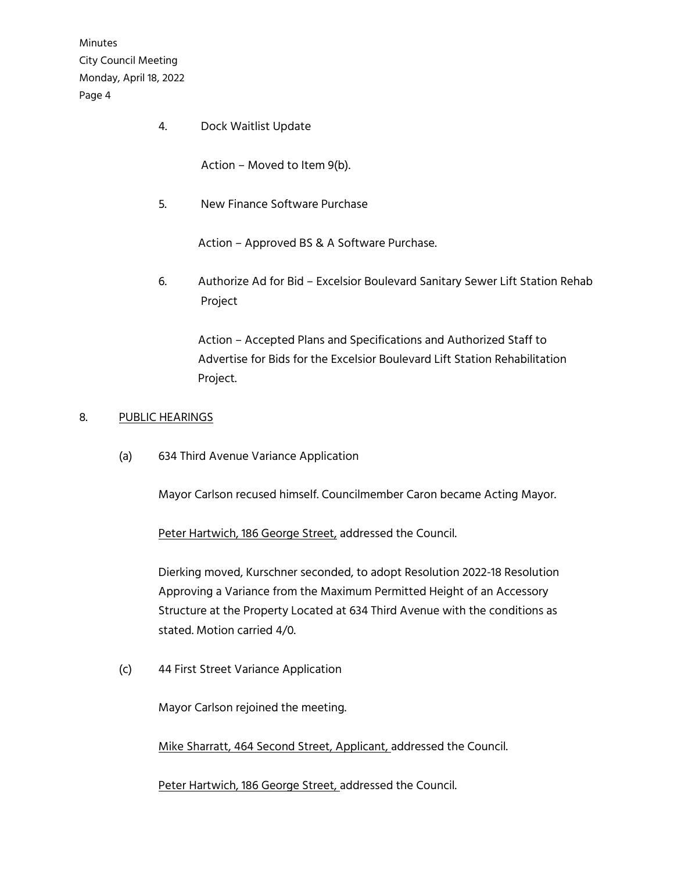4. Dock Waitlist Update

Action – Moved to Item 9(b).

5. New Finance Software Purchase

Action – Approved BS & A Software Purchase.

6. Authorize Ad for Bid – Excelsior Boulevard Sanitary Sewer Lift Station Rehab Project

Action – Accepted Plans and Specifications and Authorized Staff to Advertise for Bids for the Excelsior Boulevard Lift Station Rehabilitation Project.

#### 8. PUBLIC HEARINGS

(a) 634 Third Avenue Variance Application

Mayor Carlson recused himself. Councilmember Caron became Acting Mayor.

Peter Hartwich, 186 George Street, addressed the Council.

Dierking moved, Kurschner seconded, to adopt Resolution 2022-18 Resolution Approving a Variance from the Maximum Permitted Height of an Accessory Structure at the Property Located at 634 Third Avenue with the conditions as stated. Motion carried 4/0.

(c) 44 First Street Variance Application

Mayor Carlson rejoined the meeting.

Mike Sharratt, 464 Second Street, Applicant, addressed the Council.

Peter Hartwich, 186 George Street, addressed the Council.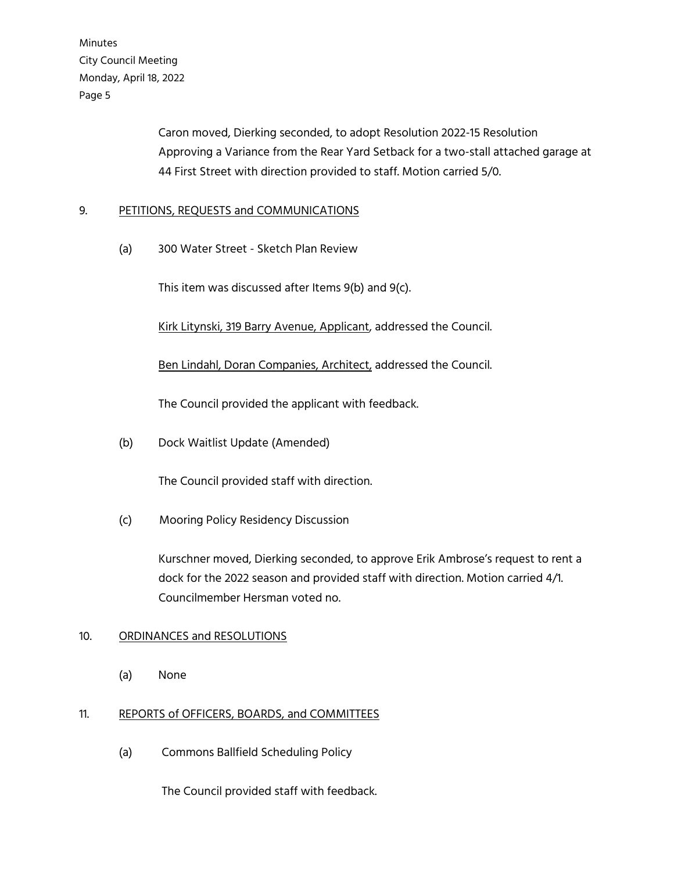> Caron moved, Dierking seconded, to adopt Resolution 2022-15 Resolution Approving a Variance from the Rear Yard Setback for a two-stall attached garage at 44 First Street with direction provided to staff. Motion carried 5/0.

# 9. PETITIONS, REQUESTS and COMMUNICATIONS

(a) 300 Water Street - Sketch Plan Review

This item was discussed after Items 9(b) and 9(c).

Kirk Litynski, 319 Barry Avenue, Applicant, addressed the Council.

Ben Lindahl, Doran Companies, Architect, addressed the Council.

The Council provided the applicant with feedback.

(b) Dock Waitlist Update (Amended)

The Council provided staff with direction.

(c) Mooring Policy Residency Discussion

Kurschner moved, Dierking seconded, to approve Erik Ambrose's request to rent a dock for the 2022 season and provided staff with direction. Motion carried 4/1. Councilmember Hersman voted no.

# 10. ORDINANCES and RESOLUTIONS

(a) None

# 11. REPORTS of OFFICERS, BOARDS, and COMMITTEES

(a) Commons Ballfield Scheduling Policy

The Council provided staff with feedback.